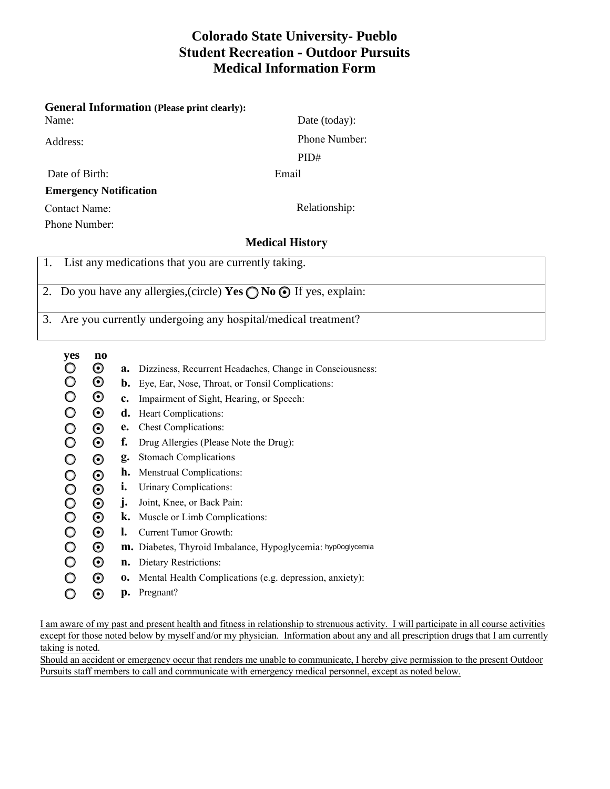# **Colorado State University- Pueblo Student Recreation - Outdoor Pursuits Medical Information Form**

# **General Information (Please print clearly):**

Name: Date (today):

Address:

Date of Birth:

### **Emergency Notification**

Contact Name: Relationship:

Phone Number:

# **Medical History**

| List any medications that you are currently taking. |  |
|-----------------------------------------------------|--|
|                                                     |  |

# 2. Do you have any allergies, (circle) **Yes**  $\bigcap$  **No**  $\bigcirc$  If yes, explain:

# 3. Are you currently undergoing any hospital/medical treatment?

#### **yes no**

O  $\boldsymbol{\odot}$ **a.** Dizziness, Recurrent Headaches, Change in Consciousness:  $\circ$  $\boldsymbol{\odot}$ **b.** Eye, Ear, Nose, Throat, or Tonsil Complications:  $\bigcirc$  $\odot$ **c.** Impairment of Sight, Hearing, or Speech:  $\odot$  $\bigcirc$ **d.** Heart Complications:  $\bigcirc$  $\odot$ **e.** Chest Complications:  $\bar{\mathsf{O}}$  $\odot$ **f.** Drug Allergies (Please Note the Drug):  $\overline{O}$  $\odot$ **g.** Stomach Complications  $\odot$ **h.** Menstrual Complications: 0000  $\odot$ **i.** Urinary Complications:  $\overline{\odot}$ **j.** Joint, Knee, or Back Pain:  $\odot$ **k.** Muscle or Limb Complications:  $\overline{O}$  $\odot$ **l.** Current Tumor Growth:  $\odot$  $\bigcirc$ **m.** Diabetes, Thyroid Imbalance, Hypoglycemia: hyp0oglycemia $\circ$  $\odot$ **n.** Dietary Restrictions:  $\bigcirc$  $\odot$ **o.** Mental Health Complications (e.g. depression, anxiety): **p.** Pregnant?  $\circ$  $\odot$ 

I am aware of my past and present health and fitness in relationship to strenuous activity. I will participate in all course activities except for those noted below by myself and/or my physician. Information about any and all prescription drugs that I am currently taking is noted.

Should an accident or emergency occur that renders me unable to communicate, I hereby give permission to the present Outdoor Pursuits staff members to call and communicate with emergency medical personnel, except as noted below.

Phone Number: PID# Email